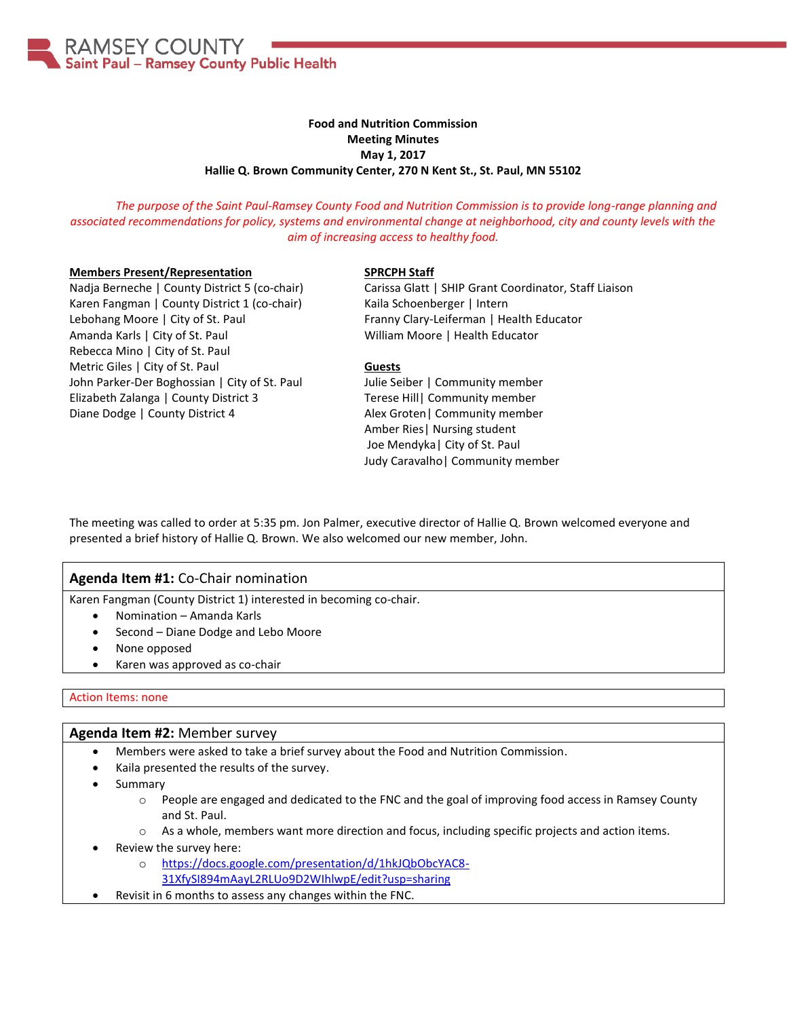

# **Food and Nutrition Commission Meeting Minutes May 1, 2017 Hallie Q. Brown Community Center, 270 N Kent St., St. Paul, MN 55102**

*The purpose of the Saint Paul-Ramsey County Food and Nutrition Commission is to provide long-range planning and associated recommendations for policy, systems and environmental change at neighborhood, city and county levels with the aim of increasing access to healthy food.*

#### **Members Present/Representation**

Nadja Berneche | County District 5 (co-chair) Karen Fangman | County District 1 (co-chair) Lebohang Moore | City of St. Paul Amanda Karls | City of St. Paul Rebecca Mino | City of St. Paul Metric Giles | City of St. Paul John Parker-Der Boghossian | City of St. Paul Elizabeth Zalanga | County District 3 Diane Dodge | County District 4

### **SPRCPH Staff**

Carissa Glatt | SHIP Grant Coordinator, Staff Liaison Kaila Schoenberger | Intern Franny Clary-Leiferman | Health Educator William Moore | Health Educator

### **Guests**

Julie Seiber | Community member Terese Hill| Community member Alex Groten| Community member Amber Ries| Nursing student Joe Mendyka| City of St. Paul Judy Caravalho| Community member

The meeting was called to order at 5:35 pm. Jon Palmer, executive director of Hallie Q. Brown welcomed everyone and presented a brief history of Hallie Q. Brown. We also welcomed our new member, John.

# **Agenda Item #1:** Co-Chair nomination

Karen Fangman (County District 1) interested in becoming co-chair.

- Nomination Amanda Karls
- Second Diane Dodge and Lebo Moore
- None opposed
- Karen was approved as co-chair

## Action Items: none

## **Agenda Item #2:** Member survey

- Members were asked to take a brief survey about the Food and Nutrition Commission.
- Kaila presented the results of the survey.
- Summary
	- o People are engaged and dedicated to the FNC and the goal of improving food access in Ramsey County and St. Paul.
	- o As a whole, members want more direction and focus, including specific projects and action items.
- Review the survey here:
	- o [https://docs.google.com/presentation/d/1hkJQbObcYAC8-](https://docs.google.com/presentation/d/1hkJQbObcYAC8-31XfySI894mAayL2RLUo9D2WIhlwpE/edit?usp=sharing) [31XfySI894mAayL2RLUo9D2WIhlwpE/edit?usp=sharing](https://docs.google.com/presentation/d/1hkJQbObcYAC8-31XfySI894mAayL2RLUo9D2WIhlwpE/edit?usp=sharing)
- Revisit in 6 months to assess any changes within the FNC.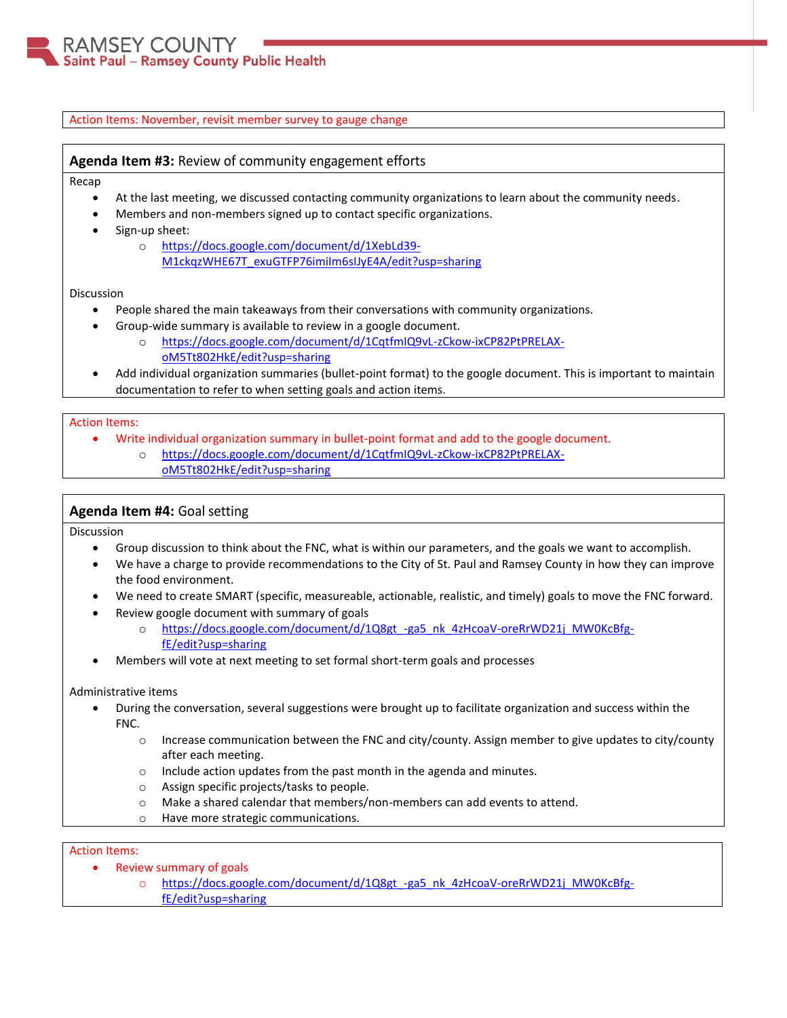### Action Items: November, revisit member survey to gauge change

# **Agenda Item #3:** Review of community engagement efforts

Recap

- At the last meeting, we discussed contacting community organizations to learn about the community needs.
- Members and non-members signed up to contact specific organizations.
- Sign-up sheet:
	- o [https://docs.google.com/document/d/1XebLd39-](https://docs.google.com/document/d/1XebLd39-M1ckqzWHE67T_exuGTFP76imiIm6sIJyE4A/edit?usp=sharing) [M1ckqzWHE67T\\_exuGTFP76imiIm6sIJyE4A/edit?usp=sharing](https://docs.google.com/document/d/1XebLd39-M1ckqzWHE67T_exuGTFP76imiIm6sIJyE4A/edit?usp=sharing)

#### Discussion

- People shared the main takeaways from their conversations with community organizations.
- Group-wide summary is available to review in a google document.
	- o [https://docs.google.com/document/d/1CqtfmIQ9vL-zCkow-ixCP82PtPRELAX](https://docs.google.com/document/d/1CqtfmIQ9vL-zCkow-ixCP82PtPRELAX-oM5Tt802HkE/edit?usp=sharing)[oM5Tt802HkE/edit?usp=sharing](https://docs.google.com/document/d/1CqtfmIQ9vL-zCkow-ixCP82PtPRELAX-oM5Tt802HkE/edit?usp=sharing)
- Add individual organization summaries (bullet-point format) to the google document. This is important to maintain documentation to refer to when setting goals and action items.

#### Action Items:

- Write individual organization summary in bullet-point format and add to the google document.
	- [https://docs.google.com/document/d/1CqtfmIQ9vL-zCkow-ixCP82PtPRELAX](https://docs.google.com/document/d/1CqtfmIQ9vL-zCkow-ixCP82PtPRELAX-oM5Tt802HkE/edit?usp=sharing)[oM5Tt802HkE/edit?usp=sharing](https://docs.google.com/document/d/1CqtfmIQ9vL-zCkow-ixCP82PtPRELAX-oM5Tt802HkE/edit?usp=sharing)

## **Agenda Item #4:** Goal setting

Discussion

- Group discussion to think about the FNC, what is within our parameters, and the goals we want to accomplish.
- We have a charge to provide recommendations to the City of St. Paul and Ramsey County in how they can improve the food environment.
- We need to create SMART (specific, measureable, actionable, realistic, and timely) goals to move the FNC forward.
	- Review google document with summary of goals
		- o [https://docs.google.com/document/d/1Q8gt\\_-ga5\\_nk\\_4zHcoaV-oreRrWD21j\\_MW0KcBfg](https://docs.google.com/document/d/1Q8gt_-ga5_nk_4zHcoaV-oreRrWD21j_MW0KcBfg-fE/edit?usp=sharing)[fE/edit?usp=sharing](https://docs.google.com/document/d/1Q8gt_-ga5_nk_4zHcoaV-oreRrWD21j_MW0KcBfg-fE/edit?usp=sharing)
- Members will vote at next meeting to set formal short-term goals and processes

## Administrative items

- During the conversation, several suggestions were brought up to facilitate organization and success within the FNC.
	- $\circ$  Increase communication between the FNC and city/county. Assign member to give updates to city/county after each meeting.
	- o Include action updates from the past month in the agenda and minutes.
	- o Assign specific projects/tasks to people.
	- o Make a shared calendar that members/non-members can add events to attend.
	- o Have more strategic communications.

## Action Items:

- Review summary of goals
	- o https://docs.google.com/document/d/1Q8gt -ga5\_nk\_4zHcoaV-oreRrWD21j\_MW0KcBfg[fE/edit?usp=sharing](https://docs.google.com/document/d/1Q8gt_-ga5_nk_4zHcoaV-oreRrWD21j_MW0KcBfg-fE/edit?usp=sharing)